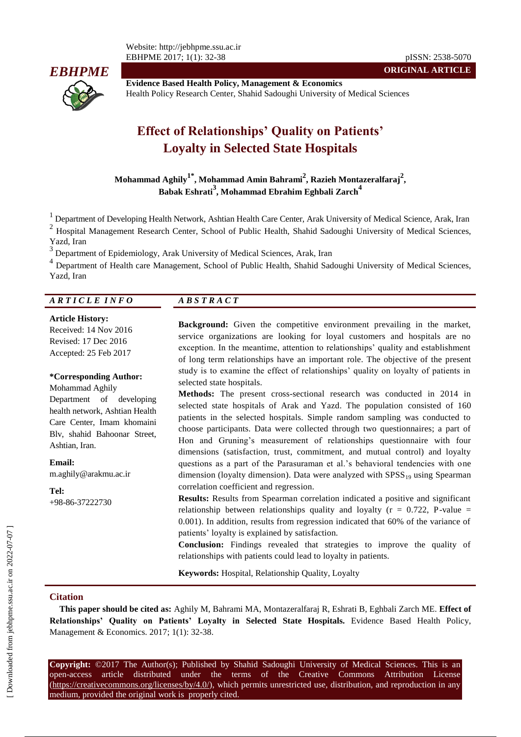Website: http://jebhpme.ssu.ac.ir EBHPME 2017; 1(1): 32-38 pISSN: 2538-5070



**Evidence Based Health Policy, Management & Economics** Health Policy Research Center, Shahid Sadoughi University of Medical Sciences

# **Effect of Relationships' Quality on Patients' Loyalty in Selected State Hospitals**

**Mohammad Aghily1\* , Mohammad Amin Bahrami<sup>2</sup> , Razieh Montazeralfaraj<sup>2</sup> , Babak Eshrati<sup>3</sup> , Mohammad Ebrahim Eghbali Zarch<sup>4</sup>**

<sup>1</sup> Department of Developing Health Network, Ashtian Health Care Center, Arak University of Medical Science, Arak, Iran

2 Hospital Management Research Center, School of Public Health, Shahid Sadoughi University of Medical Sciences, Yazd, Iran

3 Department of Epidemiology, Arak University of Medical Sciences, Arak, Iran

<sup>4</sup> Department of Health care Management, School of Public Health, Shahid Sadoughi University of Medical Sciences, Yazd, Iran

## *A R T I C L E I N F O A B S T R A C T*

#### **Article History:**

Received: 14 Nov 2016 Revised: 17 Dec 2016 Accepted: 25 Feb 2017

#### **\*Corresponding Author:**

Mohammad Aghily Department of developing health network, Ashtian Health Care Center, Imam khomaini Blv, shahid Bahoonar Street, Ashtian, Iran.

**Email:**

m.aghily@arakmu.ac.ir

**Tel:** +98-86-37222730

**Background:** Given the competitive environment prevailing in the market, service organizations are looking for loyal customers and hospitals are no exception. In the meantime, attention to relationships' quality and establishment of long term relationships have an important role. The objective of the present study is to examine the effect of relationships' quality on loyalty of patients in selected state hospitals.

**ORIGINAL ARTICLE**

**Methods:** The present cross-sectional research was conducted in 2014 in selected state hospitals of Arak and Yazd. The population consisted of 160 patients in the selected hospitals. Simple random sampling was conducted to choose participants. Data were collected through two questionnaires; a part of Hon and Gruning's measurement of relationships questionnaire with four dimensions (satisfaction, trust, commitment, and mutual control) and loyalty questions as a part of the Parasuraman et al.'s behavioral tendencies with one dimension (loyalty dimension). Data were analyzed with  $SPSS_{19}$  using Spearman correlation coefficient and regression.

**Results:** Results from Spearman correlation indicated a positive and significant relationship between relationships quality and loyalty ( $r = 0.722$ , P-value = 0.001). In addition, results from regression indicated that 60% of the variance of patients' loyalty is explained by satisfaction.

**Conclusion:** Findings revealed that strategies to improve the quality of relationships with patients could lead to loyalty in patients.

**Keywords:** Hospital, Relationship Quality, Loyalty

#### **Citation**

**This paper should be cited as:** Aghily M, Bahrami MA, Montazeralfaraj R, Eshrati B, Eghbali Zarch ME. **Effect of Relationships' Quality on Patients' Loyalty in Selected State Hospitals.** Evidence Based Health Policy, Management & Economics. 2017; 1(1): 32-38.

**Copyright:** ©2017 The Author(s); Published by Shahid Sadoughi University of Medical Sciences. This is an open-access article distributed under the terms of the Creative Commons Attribution License (https://creativecommons.org/licenses/by/4.0/), which permits unrestricted use, distribution, and reproduction in any medium, provided the original work is properly cited.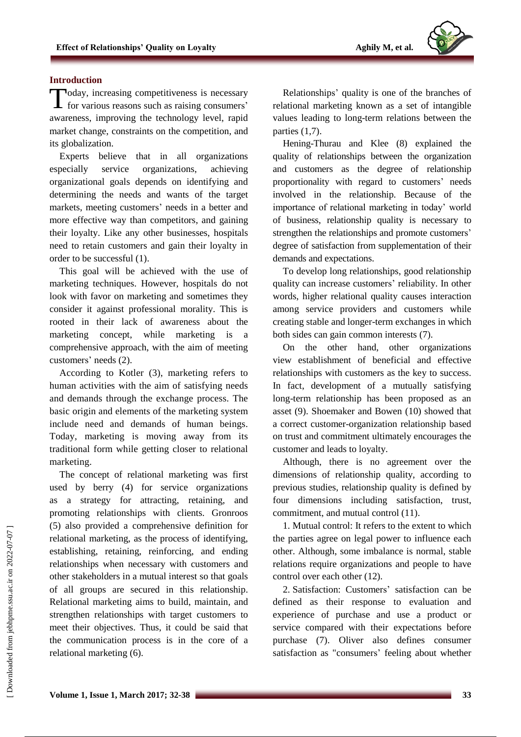### **Introduction**

Today, increasing competitiveness is necessary<br>for various reasons such as raising consumers' for various reasons such as raising consumers' awareness, improving the technology level, rapid market change, constraints on the competition, and its globalization.

Experts believe that in all organizations especially service organizations, achieving organizational goals depends on identifying and determining the needs and wants of the target markets, meeting customers' needs in a better and more effective way than competitors, and gaining their loyalty. Like any other businesses, hospitals need to retain customers and gain their loyalty in order to be successful (1).

This goal will be achieved with the use of marketing techniques. However, hospitals do not look with favor on marketing and sometimes they consider it against professional morality. This is rooted in their lack of awareness about the marketing concept, while marketing is comprehensive approach, with the aim of meeting customers' needs (2).

According to Kotler (3), marketing refers to human activities with the aim of satisfying needs and demands through the exchange process. The basic origin and elements of the marketing system include need and demands of human beings. Today, marketing is moving away from its traditional form while getting closer to relational marketing.

The concept of relational marketing was first used by berry (4) for service organizations as a strategy for attracting, retaining, and promoting relationships with clients. Gronroos (5) also provided a comprehensive definition for relational marketing, as the process of identifying, establishing, retaining, reinforcing, and ending relationships when necessary with customers and other stakeholders in a mutual interest so that goals of all groups are secured in this relationship. Relational marketing aims to build, maintain, and strengthen relationships with target customers to meet their objectives. Thus, it could be said that the communication process is in the core of a relational marketing (6).

Relationships' quality is one of the branches of relational marketing known as a set of intangible values leading to long-term relations between the parties (1,7).

Hening-Thurau and Klee (8) explained the quality of relationships between the organization and customers as the degree of relationship proportionality with regard to customers' needs involved in the relationship. Because of the importance of relational marketing in today' world of business, relationship quality is necessary to strengthen the relationships and promote customers' degree of satisfaction from supplementation of their demands and expectations.

To develop long relationships, good relationship quality can increase customers' reliability. In other words, higher relational quality causes interaction among service providers and customers while creating stable and longer-term exchanges in which both sides can gain common interests (7).

On the other hand, other organizations view establishment of beneficial and effective relationships with customers as the key to success. In fact, development of a mutually satisfying long-term relationship has been proposed as an asset (9). Shoemaker and Bowen (10) showed that a correct customer-organization relationship based on trust and commitment ultimately encourages the customer and leads to loyalty.

Although, there is no agreement over the dimensions of relationship quality, according to previous studies, relationship quality is defined by four dimensions including satisfaction, trust, commitment, and mutual control (11).

1. Mutual control: It refers to the extent to which the parties agree on legal power to influence each other. Although, some imbalance is normal, stable relations require organizations and people to have control over each other (12).

2. Satisfaction: Customers' satisfaction can be defined as their response to evaluation and experience of purchase and use a product or service compared with their expectations before purchase (7). Oliver also defines consumer satisfaction as "consumers' feeling about whether

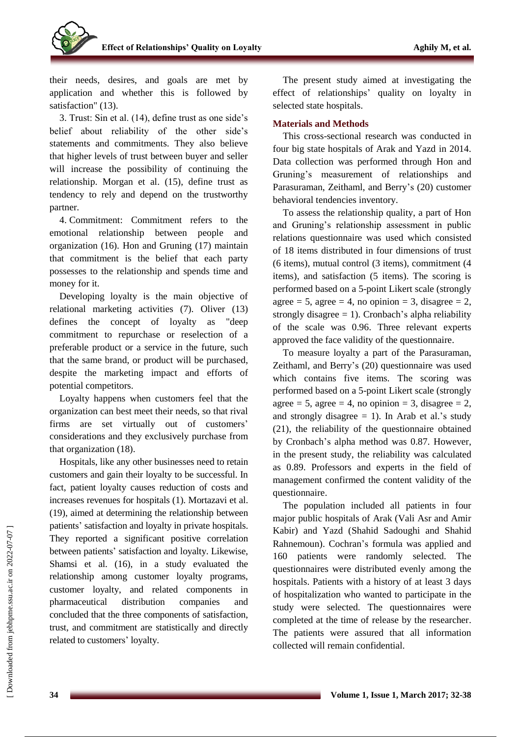their needs, desires, and goals are met by application and whether this is followed by satisfaction" (13).

3. Trust: Sin et al. (14), define trust as one side's belief about reliability of the other side's statements and commitments. They also believe that higher levels of trust between buyer and seller will increase the possibility of continuing the relationship. Morgan et al. (15), define trust as tendency to rely and depend on the trustworthy partner.

4. Commitment: Commitment refers to the emotional relationship between people and organization (16). Hon and Gruning (17) maintain that commitment is the belief that each party possesses to the relationship and spends time and money for it.

Developing loyalty is the main objective of relational marketing activities (7). Oliver (13) defines the concept of loyalty as "deep commitment to repurchase or reselection of a preferable product or a service in the future, such that the same brand, or product will be purchased, despite the marketing impact and efforts of potential competitors.

Loyalty happens when customers feel that the organization can best meet their needs, so that rival firms are set virtually out of customers' considerations and they exclusively purchase from that organization (18).

Hospitals, like any other businesses need to retain customers and gain their loyalty to be successful. In fact, patient loyalty causes reduction of costs and increases revenues for hospitals (1). Mortazavi et al. (19), aimed at determining the relationship between patients' satisfaction and loyalty in private hospitals. They reported a significant positive correlation between patients' satisfaction and loyalty. Likewise, Shamsi et al. (16), in a study evaluated the relationship among customer loyalty programs, customer loyalty, and related components in pharmaceutical distribution companies and concluded that the three components of satisfaction, trust, and commitment are statistically and directly related to customers' loyalty.

The present study aimed at investigating the effect of relationships' quality on loyalty in selected state hospitals.

## **Materials and Methods**

This cross-sectional research was conducted in four big state hospitals of Arak and Yazd in 2014. Data collection was performed through Hon and Gruning's measurement of relationships and Parasuraman, Zeithaml, and Berry's (20) customer behavioral tendencies inventory.

To assess the relationship quality, a part of Hon and Gruning's relationship assessment in public relations questionnaire was used which consisted of 18 items distributed in four dimensions of trust (6 items), mutual control (3 items), commitment (4 items), and satisfaction (5 items). The scoring is performed based on a 5-point Likert scale (strongly agree = 5, agree = 4, no opinion = 3, disagree = 2, strongly disagree  $= 1$ ). Cronbach's alpha reliability of the scale was 0.96. Three relevant experts approved the face validity of the questionnaire.

To measure loyalty a part of the Parasuraman, Zeithaml, and Berry's (20) questionnaire was used which contains five items. The scoring was performed based on a 5-point Likert scale (strongly agree = 5, agree = 4, no opinion = 3, disagree = 2, and strongly disagree  $= 1$ ). In Arab et al.'s study (21), the reliability of the questionnaire obtained by Cronbach's alpha method was 0.87. However, in the present study, the reliability was calculated as 0.89. Professors and experts in the field of management confirmed the content validity of the questionnaire.

The population included all patients in four major public hospitals of Arak (Vali Asr and Amir Kabir) and Yazd (Shahid Sadoughi and Shahid Rahnemoun). Cochran's formula was applied and 160 patients were randomly selected. The questionnaires were distributed evenly among the hospitals. Patients with a history of at least 3 days of hospitalization who wanted to participate in the study were selected. The questionnaires were completed at the time of release by the researcher. The patients were assured that all information collected will remain confidential.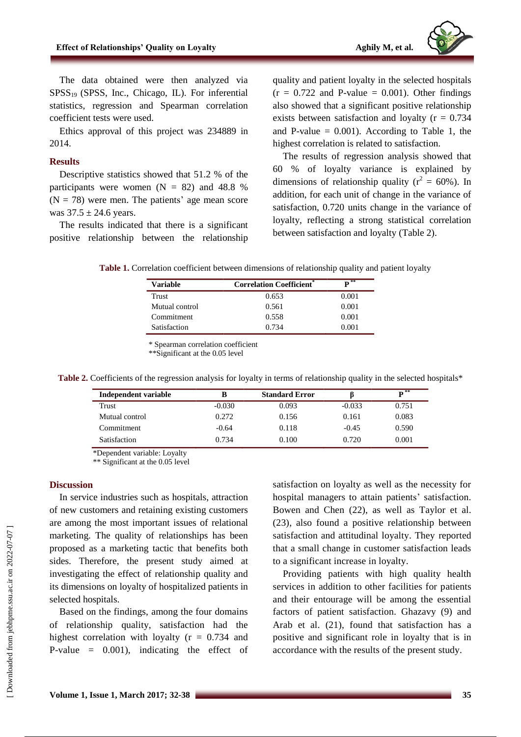

The data obtained were then analyzed via  $SPSS<sub>19</sub>$  (SPSS, Inc., Chicago, IL). For inferential statistics, regression and Spearman correlation coefficient tests were used.

Ethics approval of this project was 234889 in 2014.

#### **Results**

Descriptive statistics showed that 51.2 % of the participants were women  $(N = 82)$  and 48.8 %  $(N = 78)$  were men. The patients' age mean score was  $37.5 \pm 24.6$  years.

The results indicated that there is a significant positive relationship between the relationship

quality and patient loyalty in the selected hospitals  $(r = 0.722$  and P-value = 0.001). Other findings also showed that a significant positive relationship exists between satisfaction and loyalty ( $r = 0.734$ ) and P-value  $= 0.001$ ). According to Table 1, the highest correlation is related to satisfaction.

The results of regression analysis showed that 60 % of loyalty variance is explained by dimensions of relationship quality ( $r^2 = 60\%$ ). In addition, for each unit of change in the variance of satisfaction, 0.720 units change in the variance of loyalty, reflecting a strong statistical correlation between satisfaction and loyalty (Table 2).

**Table 1.** Correlation coefficient between dimensions of relationship quality and patient loyalty

| <b>Variable</b> | <b>Correlation Coefficient</b> * | $\mathbf{p}^{**}$ |
|-----------------|----------------------------------|-------------------|
| Trust           | 0.653                            | 0.001             |
| Mutual control  | 0.561                            | 0.001             |
| Commitment      | 0.558                            | 0.001             |
| Satisfaction    | 0.734                            | 0.001             |

\* Spearman correlation coefficient

\*\*Significant at the 0.05 level

| Independent variable |          | <b>Standard Error</b> |          | $\overline{\mathbf{p}^{**}}$ |
|----------------------|----------|-----------------------|----------|------------------------------|
| Trust                | $-0.030$ | 0.093                 | $-0.033$ | 0.751                        |
| Mutual control       | 0.272    | 0.156                 | 0.161    | 0.083                        |
| Commitment           | $-0.64$  | 0.118                 | $-0.45$  | 0.590                        |
| Satisfaction         | 0.734    | 0.100                 | 0.720    | 0.001                        |

Table 2. Coefficients of the regression analysis for loyalty in terms of relationship quality in the selected hospitals\*

\*Dependent variable: Loyalty

\*\* Significant at the 0.05 level

#### **Discussion**

In service industries such as hospitals, attraction of new customers and retaining existing customers are among the most important issues of relational marketing. The quality of relationships has been proposed as a marketing tactic that benefits both sides. Therefore, the present study aimed at investigating the effect of relationship quality and its dimensions on loyalty of hospitalized patients in selected hospitals.

Based on the findings, among the four domains of relationship quality, satisfaction had the highest correlation with loyalty  $(r = 0.734$  and P-value = 0.001), indicating the effect of satisfaction on loyalty as well as the necessity for hospital managers to attain patients' satisfaction. Bowen and Chen (22), as well as Taylor et al. (23), also found a positive relationship between satisfaction and attitudinal loyalty. They reported that a small change in customer satisfaction leads to a significant increase in loyalty.

Providing patients with high quality health services in addition to other facilities for patients and their entourage will be among the essential factors of patient satisfaction. Ghazavy (9) and Arab et al. (21), found that satisfaction has a positive and significant role in loyalty that is in accordance with the results of the present study.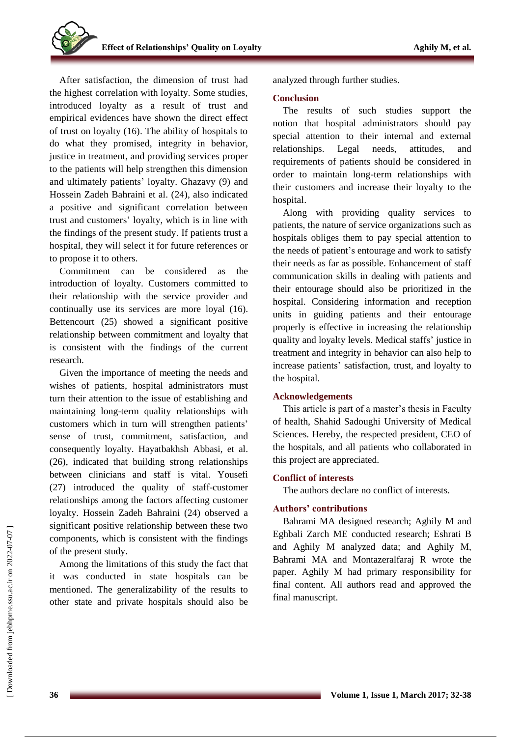After satisfaction, the dimension of trust had the highest correlation with loyalty. Some studies, introduced loyalty as a result of trust and empirical evidences have shown the direct effect of trust on loyalty (16). The ability of hospitals to do what they promised, integrity in behavior, justice in treatment, and providing services proper to the patients will help strengthen this dimension and ultimately patients' loyalty. Ghazavy (9) and Hossein Zadeh Bahraini et al. (24), also indicated a positive and significant correlation between trust and customers' loyalty, which is in line with the findings of the present study. If patients trust a hospital, they will select it for future references or to propose it to others.

Commitment can be considered as the introduction of loyalty. Customers committed to their relationship with the service provider and continually use its services are more loyal (16). Bettencourt (25) showed a significant positive relationship between commitment and loyalty that is consistent with the findings of the current research.

Given the importance of meeting the needs and wishes of patients, hospital administrators must turn their attention to the issue of establishing and maintaining long-term quality relationships with customers which in turn will strengthen patients' sense of trust, commitment, satisfaction, and consequently loyalty. Hayatbakhsh Abbasi, et al. (26), indicated that building strong relationships between clinicians and staff is vital. Yousefi (27) introduced the quality of staff-customer relationships among the factors affecting customer loyalty. Hossein Zadeh Bahraini (24) observed a significant positive relationship between these two components, which is consistent with the findings of the present study.

Among the limitations of this study the fact that it was conducted in state hospitals can be mentioned. The generalizability of the results to other state and private hospitals should also be analyzed through further studies.

## **Conclusion**

The results of such studies support the notion that hospital administrators should pay special attention to their internal and external relationships. Legal needs, attitudes, and requirements of patients should be considered in order to maintain long-term relationships with their customers and increase their loyalty to the hospital.

Along with providing quality services to patients, the nature of service organizations such as hospitals obliges them to pay special attention to the needs of patient's entourage and work to satisfy their needs as far as possible. Enhancement of staff communication skills in dealing with patients and their entourage should also be prioritized in the hospital. Considering information and reception units in guiding patients and their entourage properly is effective in increasing the relationship quality and loyalty levels. Medical staffs' justice in treatment and integrity in behavior can also help to increase patients' satisfaction, trust, and loyalty to the hospital.

## **Acknowledgements**

This article is part of a master's thesis in Faculty of health, Shahid Sadoughi University of Medical Sciences. Hereby, the respected president, CEO of the hospitals, and all patients who collaborated in this project are appreciated.

# **Conflict of interests**

The authors declare no conflict of interests.

## **Authors' contributions**

Bahrami MA designed research; Aghily M and Eghbali Zarch ME conducted research; Eshrati B and Aghily M analyzed data; and Aghily M, Bahrami MA and Montazeralfaraj R wrote the paper. Aghily M had primary responsibility for final content. All authors read and approved the final manuscript.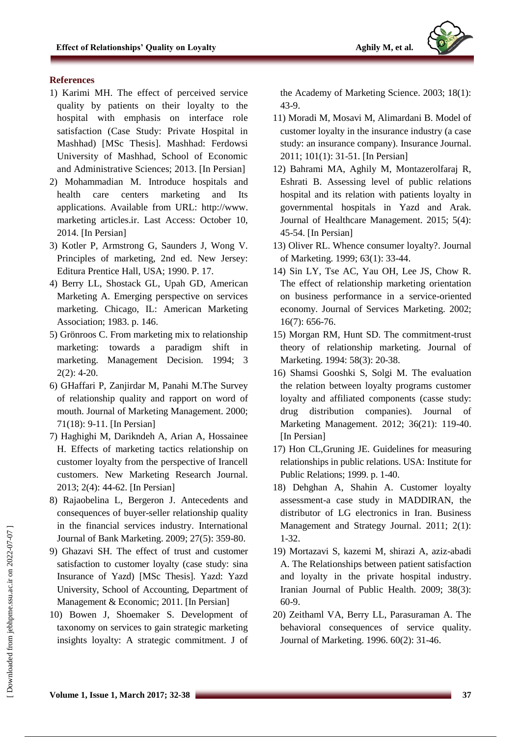

## **References**

- 1) Karimi MH. The effect of perceived service quality by patients on their loyalty to the hospital with emphasis on interface role satisfaction (Case Study: Private Hospital in Mashhad) [MSc Thesis]. Mashhad: Ferdowsi University of Mashhad, School of Economic and Administrative Sciences; 2013. [In Persian]
- 2) Mohammadian M. Introduce hospitals and health care centers marketing and Its applications. Available from URL: http://www. marketing articles.ir. Last Access: October 10, 2014. [In Persian]
- 3) Kotler P, Armstrong G, Saunders J, Wong V. Principles of marketing, 2nd ed. New Jersey: Editura Prentice Hall, USA; 1990. P. 17.
- 4) Berry LL, Shostack GL, Upah GD, American Marketing A. Emerging perspective on services marketing. Chicago, IL: American Marketing Association; 1983. p. 146.
- 5) Grönroos C. From marketing mix to relationship marketing: towards a paradigm shift in marketing. Management Decision. 1994; 3 2(2): 4-20.
- 6) GHaffari P, Zanjirdar M, Panahi M.The Survey of relationship quality and rapport on word of mouth. Journal of Marketing Management. 2000; 71(18): 9-11. [In Persian]
- 7) Haghighi M, Darikndeh A, Arian A, Hossainee H. Effects of marketing tactics relationship on customer loyalty from the perspective of Irancell customers. New Marketing Research Journal. 2013; 2(4): 44-62. [In Persian]
- 8) Rajaobelina L, Bergeron J. Antecedents and consequences of buyer-seller relationship quality in the financial services industry. International Journal of Bank Marketing. 2009; 27(5): 359-80.
- 9) Ghazavi SH. The effect of trust and customer satisfaction to customer loyalty (case study: sina Insurance of Yazd) [MSc Thesis]. Yazd: Yazd University, School of Accounting, Department of Management & Economic; 2011. [In Persian]
- 10) Bowen J, Shoemaker S. Development of taxonomy on services to gain strategic marketing insights loyalty: A strategic commitment. J of

the Academy of Marketing Science. 2003; 18(1): 43-9.

- 11) Moradi M, Mosavi M, Alimardani B. Model of customer loyalty in the insurance industry (a case study: an insurance company). Insurance Journal. 2011; 101(1): 31-51. [In Persian]
- 12) Bahrami MA, Aghily M, Montazerolfaraj R, Eshrati B. Assessing level of public relations hospital and its relation with patients loyalty in governmental hospitals in Yazd and Arak. Journal of Healthcare Management. 2015; 5(4): 45-54. [In Persian]
- 13) Oliver RL. Whence consumer loyalty?. Journal of Marketing. 1999; 63(1): 33-44.
- 14) Sin LY, Tse AC, Yau OH, Lee JS, Chow R. The effect of relationship marketing orientation on business performance in a service-oriented economy. Journal of Services Marketing. 2002; 16(7): 656-76.
- 15) Morgan RM, Hunt SD. The commitment-trust theory of relationship marketing. Journal of Marketing. 1994: 58(3): 20-38.
- 16) Shamsi Gooshki S, Solgi M. The evaluation the relation between loyalty programs customer loyalty and affiliated components (casse study: drug distribution companies). Journal of Marketing Management. 2012; 36(21): 119-40. [In Persian]
- 17) Hon CL,Gruning JE. Guidelines for measuring relationships in public relations. USA: Institute for Public Relations; 1999. p. 1-40.
- 18) Dehghan A, Shahin A. Customer loyalty assessment-a case study in MADDIRAN, the distributor of LG electronics in Iran. Business Management and Strategy Journal. 2011; 2(1): 1-32.
- 19) Mortazavi S, kazemi M, shirazi A, aziz-abadi A. The Relationships between patient satisfaction and loyalty in the private hospital industry. Iranian Journal of Public Health. 2009; 38(3): 60-9.
- 20) Zeithaml VA, Berry LL, Parasuraman A. The behavioral consequences of service quality. Journal of Marketing. 1996. 60(2): 31-46.